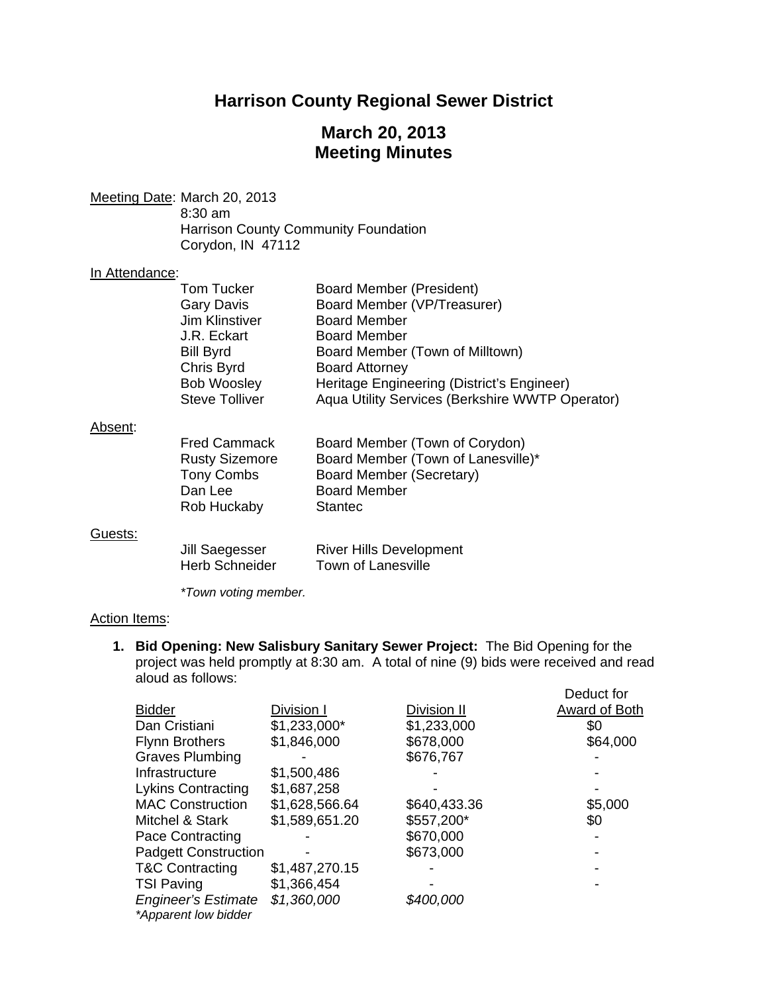# **Harrison County Regional Sewer District**

# **March 20, 2013 Meeting Minutes**

Meeting Date: March 20, 2013

 8:30 am Harrison County Community Foundation Corydon, IN 47112

#### In Attendance:

| Tom Tucker<br><b>Gary Davis</b><br>Jim Klinstiver<br>J.R. Eckart<br><b>Bill Byrd</b><br>Chris Byrd | Board Member (President)<br>Board Member (VP/Treasurer)<br><b>Board Member</b><br><b>Board Member</b><br>Board Member (Town of Milltown)<br><b>Board Attorney</b> |
|----------------------------------------------------------------------------------------------------|-------------------------------------------------------------------------------------------------------------------------------------------------------------------|
| <b>Bob Woosley</b><br><b>Steve Tolliver</b>                                                        | Heritage Engineering (District's Engineer)<br>Aqua Utility Services (Berkshire WWTP Operator)                                                                     |

#### Absent:

| <b>Fred Cammack</b>   | Board Member (Town of Corydon)     |
|-----------------------|------------------------------------|
| <b>Rusty Sizemore</b> | Board Member (Town of Lanesville)* |
| <b>Tony Combs</b>     | Board Member (Secretary)           |
| Dan Lee               | <b>Board Member</b>                |
| Rob Huckaby           | <b>Stantec</b>                     |
|                       |                                    |

### Guests:

| Jill Saegesser        | <b>River Hills Development</b> |
|-----------------------|--------------------------------|
| <b>Herb Schneider</b> | Town of Lanesville             |

 *\*Town voting member.* 

#### Action Items:

**1. Bid Opening: New Salisbury Sanitary Sewer Project:** The Bid Opening for the project was held promptly at 8:30 am. A total of nine (9) bids were received and read aloud as follows:

|                                                    |                |              | Deduct for    |
|----------------------------------------------------|----------------|--------------|---------------|
| <b>Bidder</b>                                      | Division I     | Division II  | Award of Both |
| Dan Cristiani                                      | $$1,233,000*$  | \$1,233,000  | \$0           |
| <b>Flynn Brothers</b>                              | \$1,846,000    | \$678,000    | \$64,000      |
| <b>Graves Plumbing</b>                             |                | \$676,767    |               |
| Infrastructure                                     | \$1,500,486    |              |               |
| <b>Lykins Contracting</b>                          | \$1,687,258    |              |               |
| <b>MAC Construction</b>                            | \$1,628,566.64 | \$640,433.36 | \$5,000       |
| Mitchel & Stark                                    | \$1,589,651.20 | \$557,200*   | \$0           |
| Pace Contracting                                   |                | \$670,000    |               |
| <b>Padgett Construction</b>                        |                | \$673,000    |               |
| <b>T&amp;C Contracting</b>                         | \$1,487,270.15 |              |               |
| <b>TSI Paving</b>                                  | \$1,366,454    |              |               |
| <b>Engineer's Estimate</b><br>*Apparent low bidder | \$1,360,000    | \$400,000    |               |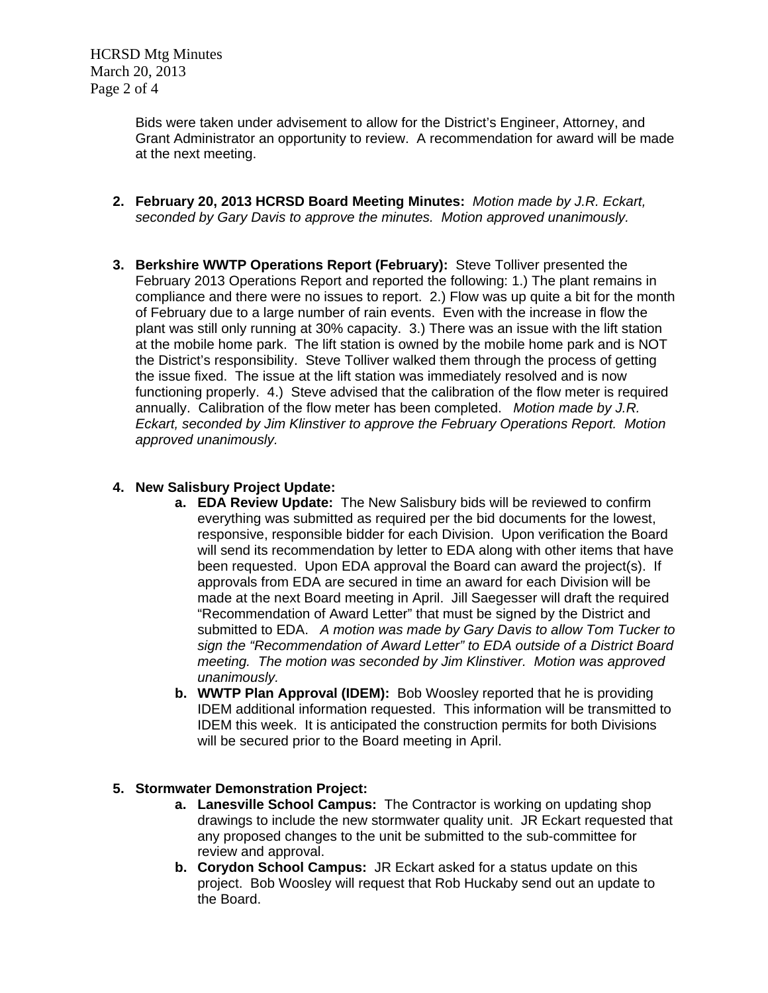HCRSD Mtg Minutes March 20, 2013 Page 2 of 4

> Bids were taken under advisement to allow for the District's Engineer, Attorney, and Grant Administrator an opportunity to review. A recommendation for award will be made at the next meeting.

- **2. February 20, 2013 HCRSD Board Meeting Minutes:** *Motion made by J.R. Eckart, seconded by Gary Davis to approve the minutes. Motion approved unanimously.*
- **3. Berkshire WWTP Operations Report (February):** Steve Tolliver presented the February 2013 Operations Report and reported the following: 1.) The plant remains in compliance and there were no issues to report. 2.) Flow was up quite a bit for the month of February due to a large number of rain events. Even with the increase in flow the plant was still only running at 30% capacity. 3.) There was an issue with the lift station at the mobile home park. The lift station is owned by the mobile home park and is NOT the District's responsibility. Steve Tolliver walked them through the process of getting the issue fixed. The issue at the lift station was immediately resolved and is now functioning properly. 4.) Steve advised that the calibration of the flow meter is required annually. Calibration of the flow meter has been completed. *Motion made by J.R. Eckart, seconded by Jim Klinstiver to approve the February Operations Report. Motion approved unanimously.*

## **4. New Salisbury Project Update:**

- **a. EDA Review Update:** The New Salisbury bids will be reviewed to confirm everything was submitted as required per the bid documents for the lowest, responsive, responsible bidder for each Division. Upon verification the Board will send its recommendation by letter to EDA along with other items that have been requested. Upon EDA approval the Board can award the project(s). If approvals from EDA are secured in time an award for each Division will be made at the next Board meeting in April. Jill Saegesser will draft the required "Recommendation of Award Letter" that must be signed by the District and submitted to EDA. *A motion was made by Gary Davis to allow Tom Tucker to sign the "Recommendation of Award Letter" to EDA outside of a District Board meeting. The motion was seconded by Jim Klinstiver. Motion was approved unanimously.*
- **b. WWTP Plan Approval (IDEM):** Bob Woosley reported that he is providing IDEM additional information requested. This information will be transmitted to IDEM this week. It is anticipated the construction permits for both Divisions will be secured prior to the Board meeting in April.

## **5. Stormwater Demonstration Project:**

- **a. Lanesville School Campus:** The Contractor is working on updating shop drawings to include the new stormwater quality unit. JR Eckart requested that any proposed changes to the unit be submitted to the sub-committee for review and approval.
- **b. Corydon School Campus:** JR Eckart asked for a status update on this project. Bob Woosley will request that Rob Huckaby send out an update to the Board.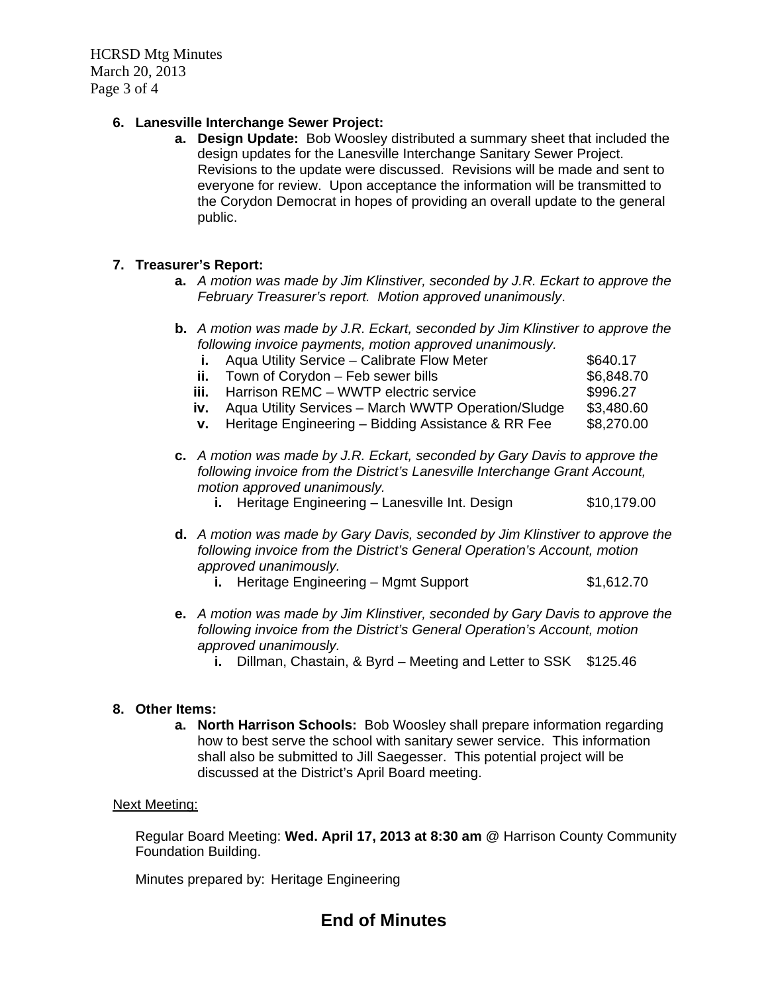HCRSD Mtg Minutes March 20, 2013 Page 3 of 4

## **6. Lanesville Interchange Sewer Project:**

**a. Design Update:** Bob Woosley distributed a summary sheet that included the design updates for the Lanesville Interchange Sanitary Sewer Project. Revisions to the update were discussed. Revisions will be made and sent to everyone for review. Upon acceptance the information will be transmitted to the Corydon Democrat in hopes of providing an overall update to the general public.

## **7. Treasurer's Report:**

- **a.** *A motion was made by Jim Klinstiver, seconded by J.R. Eckart to approve the February Treasurer's report. Motion approved unanimously*.
- **b.** *A motion was made by J.R. Eckart, seconded by Jim Klinstiver to approve the following invoice payments, motion approved unanimously.*

|                                                                                                                                                                                           |      | Aqua Utility Service - Calibrate Flow Meter         | \$640.17   |
|-------------------------------------------------------------------------------------------------------------------------------------------------------------------------------------------|------|-----------------------------------------------------|------------|
|                                                                                                                                                                                           | ii.  | Town of Corydon - Feb sewer bills                   | \$6,848.70 |
|                                                                                                                                                                                           | iii. | Harrison REMC - WWTP electric service               | \$996.27   |
|                                                                                                                                                                                           | IV.  | Aqua Utility Services - March WWTP Operation/Sludge | \$3,480.60 |
|                                                                                                                                                                                           | v.   | Heritage Engineering - Bidding Assistance & RR Fee  | \$8,270.00 |
| c. A motion was made by J.R. Eckart, seconded by Gary Davis to approve the<br>following invoice from the District's Lanesville Interchange Grant Account,<br>motion approved unanimously. |      |                                                     |            |

- **i.** Heritage Engineering Lanesville Int. Design \$10,179.00
- **d.** *A motion was made by Gary Davis, seconded by Jim Klinstiver to approve the following invoice from the District's General Operation's Account, motion approved unanimously.* 
	- **i.** Heritage Engineering Mgmt Support \$1,612.70
- **e.** *A motion was made by Jim Klinstiver, seconded by Gary Davis to approve the following invoice from the District's General Operation's Account, motion approved unanimously.* 
	- **i.** Dillman, Chastain, & Byrd Meeting and Letter to SSK \$125.46

### **8. Other Items:**

**a. North Harrison Schools:** Bob Woosley shall prepare information regarding how to best serve the school with sanitary sewer service. This information shall also be submitted to Jill Saegesser. This potential project will be discussed at the District's April Board meeting.

### Next Meeting:

Regular Board Meeting: **Wed. April 17, 2013 at 8:30 am** @ Harrison County Community Foundation Building.

Minutes prepared by: Heritage Engineering

# **End of Minutes**